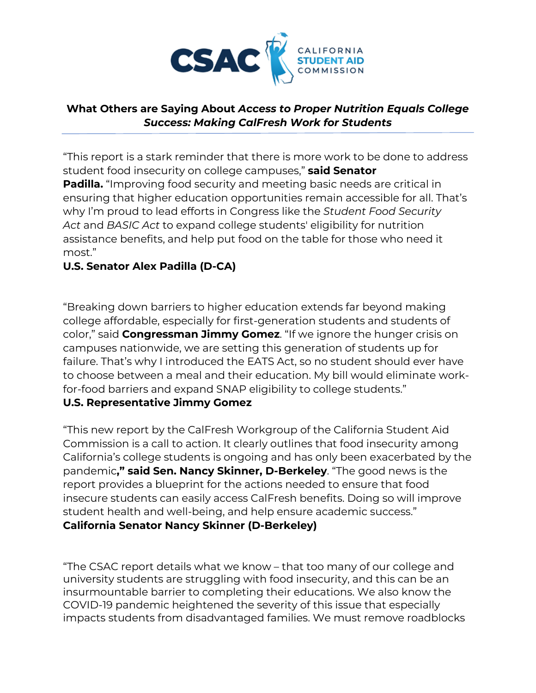

#### **What Others are Saying About** *Access to Proper Nutrition Equals College Success: Making CalFresh Work for Students*

"This report is a stark reminder that there is more work to be done to address student food insecurity on college campuses," **said Senator Padilla.** "Improving food security and meeting basic needs are critical in ensuring that higher education opportunities remain accessible for all. That's why I'm proud to lead efforts in Congress like the *Student Food Security Act* and *BASIC Act* to expand college students' eligibility for nutrition assistance benefits, and help put food on the table for those who need it most."

## **U.S. Senator Alex Padilla (D-CA)**

"Breaking down barriers to higher education extends far beyond making college affordable, especially for first-generation students and students of color," said **Congressman Jimmy Gomez**. "If we ignore the hunger crisis on campuses nationwide, we are setting this generation of students up for failure. That's why I introduced the EATS Act, so no student should ever have to choose between a meal and their education. My bill would eliminate workfor-food barriers and expand SNAP eligibility to college students."

## **U.S. Representative Jimmy Gomez**

"This new report by the CalFresh Workgroup of the California Student Aid Commission is a call to action. It clearly outlines that food insecurity among California's college students is ongoing and has only been exacerbated by the pandemic**," said Sen. Nancy Skinner, D-Berkeley**. "The good news is the report provides a blueprint for the actions needed to ensure that food insecure students can easily access CalFresh benefits. Doing so will improve student health and well-being, and help ensure academic success." **California Senator Nancy Skinner (D-Berkeley)**

"The CSAC report details what we know – that too many of our college and university students are struggling with food insecurity, and this can be an insurmountable barrier to completing their educations. We also know the COVID-19 pandemic heightened the severity of this issue that especially impacts students from disadvantaged families. We must remove roadblocks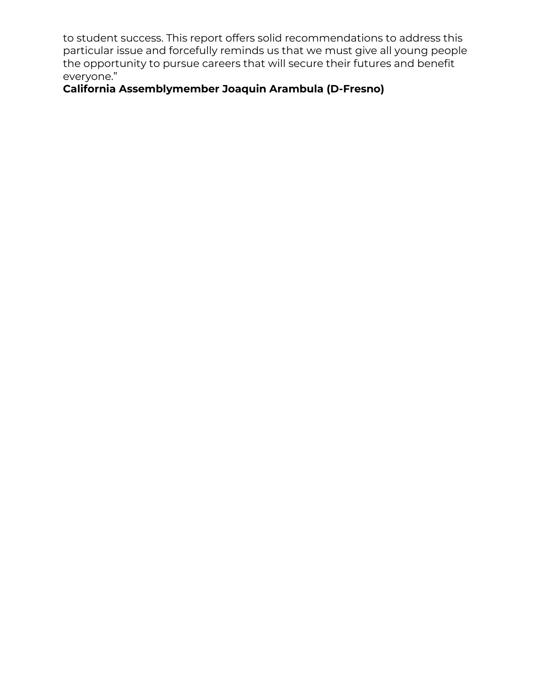to student success. This report offers solid recommendations to address this particular issue and forcefully reminds us that we must give all young people the opportunity to pursue careers that will secure their futures and benefit everyone."

# **California Assemblymember Joaquin Arambula (D-Fresno)**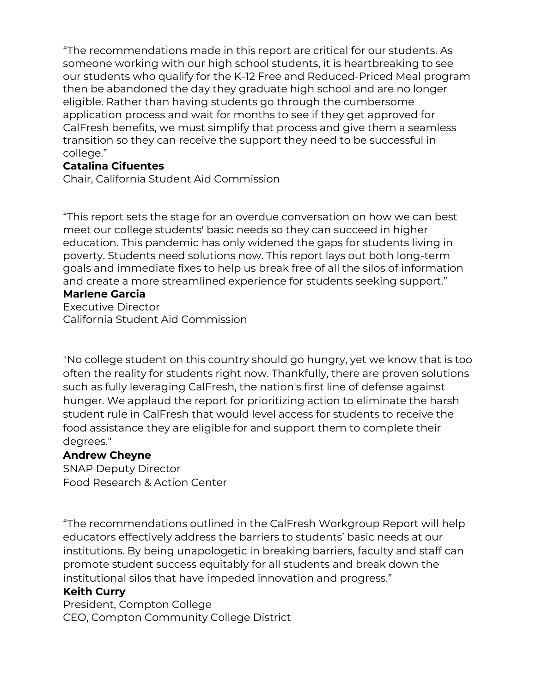"The recommendations made in this report are critical for our students. As someone working with our high school students, it is heartbreaking to see our students who qualify for the K-12 Free and Reduced-Priced Meal program then be abandoned the day they graduate high school and are no longer eligible. Rather than having students go through the cumbersome application process and wait for months to see if they get approved for CalFresh benefits, we must simplify that process and give them a seamless transition so they can receive the support they need to be successful in college."

#### **Catalina Cifuentes**

Chair, California Student Aid Commission

"This report sets the stage for an overdue conversation on how we can best meet our college students' basic needs so they can succeed in higher education. This pandemic has only widened the gaps for students living in poverty. Students need solutions now. This report lays out both long-term goals and immediate fixes to help us break free of all the silos of information and create a more streamlined experience for students seeking support."

#### **Marlene Garcia**

Executive Director California Student Aid Commission

"No college student on this country should go hungry, yet we know that is too often the reality for students right now. Thankfully, there are proven solutions such as fully leveraging CalFresh, the nation's first line of defense against hunger. We applaud the report for prioritizing action to eliminate the harsh student rule in CalFresh that would level access for students to receive the food assistance they are eligible for and support them to complete their degrees."

#### **Andrew Cheyne**

SNAP Deputy Director Food Research & Action Center

"The recommendations outlined in the CalFresh Workgroup Report will help educators effectively address the barriers to students' basic needs at our institutions. By being unapologetic in breaking barriers, faculty and staff can promote student success equitably for all students and break down the institutional silos that have impeded innovation and progress."

#### **Keith Curry**

President, Compton College CEO, Compton Community College District